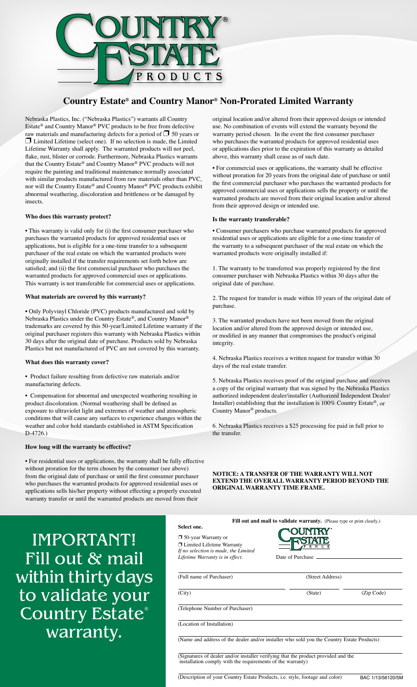

# **Country Estate® and Country Manor® Non-Prorated Limited Warranty**

Nebraska Plastics, Inc. ("Nebraska Plastics") warrants all Country Estate® and Country Manor® PVC products to be free from defective raw materials and manufacturing defects for a period of  $\Box$  50 years or  $\Box$  Limited Lifetime (select one). If no selection is made, the Limited Lifetime Warranty shall apply. The warranted products will not peel, flake, rust, blister or corrode. Furthermore, Nebraska Plastics warrants that the Country Estate® and Country Manor® PVC products will not require the painting and traditional maintenance normally associated with similar products manufactured from raw materials other than PVC, nor will the Country Estate® and Country Manor® PVC products exhibit abnormal weathering, discoloration and brittleness or be damaged by insects.

# **Who does this warranty protect?**

• This warranty is valid only for (i) the first consumer purchaser who purchases the warranted products for approved residential uses or applications, but is eligible for a one-time transfer to a subsequent purchaser of the real estate on which the warranted products were originally installed if the transfer requirements set forth below are satisfied; and (ii) the first commercial purchaser who purchases the warranted products for approved commercial uses or applications. This warranty is not transferable for commercial uses or applications.

# **What materials are covered by this warranty?**

• Only Polyvinyl Chloride (PVC) products manufactured and sold by Nebraska Plastics under the Country Estate®, and Country Manor® trademarks are covered by this 50-year/Limited Lifetime warranty if the original purchaser registers this warranty with Nebraska Plastics within 30 days after the original date of purchase. Products sold by Nebraska Plastics but not manufactured of PVC are not covered by this warranty.

# **What does this warranty cover?**

• Product failure resulting from defective raw materials and/or manufacturing defects.

• Compensation for abnormal and unexpected weathering resulting in product discoloration. (Normal weathering shall be defined as exposure to ultraviolet light and extremes of weather and atmospheric conditions that will cause any surfaces to experience changes within the weather and color hold standards established in ASTM Specification D-4726.)

# **How long will the warranty be effective?**

• For residential uses or applications, the warranty shall be fully effective without proration for the term chosen by the consumer (see above) from the original date of purchase or until the first consumer purchaser who purchases the warranted products for approved residential uses or applications sells his/her property without effecting a properly executed warranty transfer or until the warranted products are moved from their

original location and/or altered from their approved design or intended use. No combination of events will extend the warranty beyond the warranty period chosen. In the event the first consumer purchaser who purchases the warranted products for approved residential uses or applications dies prior to the expiration of this warranty as detailed above, this warranty shall cease as of such date.

• For commercial uses or applications, the warranty shall be effective without proration for 20 years from the original date of purchase or until the first commercial purchaser who purchases the warranted products for approved commercial uses or applications sells the property or until the warranted products are moved from their original location and/or altered from their approved design or intended use.

#### **Is the warranty transferable?**

• Consumer purchasers who purchase warranted products for approved residential uses or applications are eligible for a one-time transfer of the warranty to a subsequent purchaser of the real estate on which the warranted products were originally installed if:

1. The warranty to be transferred was properly registered by the first consumer purchaser with Nebraska Plastics within 30 days after the original date of purchase.

2. The request for transfer is made within 10 years of the original date of purchase.

3. The warranted products have not been moved from the original location and/or altered from the approved design or intended use, or modified in any manner that compromises the product's original integrity.

4. Nebraska Plastics receives a written request for transfer within 30 days of the real estate transfer.

5. Nebraska Plastics receives proof of the original purchase and receives a copy of the original warranty that was signed by the Nebraska Plastics authorized independent dealer/installer (Authorized Independent Dealer/ Installer) establishing that the installation is 100% Country Estate®, or Country Manor® products.

6. Nebraska Plastics receives a \$25 processing fee paid in full prior to the transfer.

**NOTICE: A TRANSFER OF THE WARRANTY WILL NOT EXTEND THE OVERALL WARRANTY PERIOD BEYOND THE ORIGINAL WARRANTY TIME FRAME.**

IMPORTANT! Fill out & mail within thirty days to validate your Country Estate® warranty.

|                                                                                                                                                  | Fill out and mail to validate warranty. (Please type or print clearly.) |                  |  |
|--------------------------------------------------------------------------------------------------------------------------------------------------|-------------------------------------------------------------------------|------------------|--|
| Select one.<br>$\Box$ 50-year Warranty or                                                                                                        |                                                                         |                  |  |
| □ Limited Lifetime Warranty                                                                                                                      |                                                                         |                  |  |
| If no selection is made, the Limited<br>Lifetime Warranty is in effect.                                                                          | Date of Purchase                                                        |                  |  |
| (Full name of Purchaser)                                                                                                                         |                                                                         | (Street Address) |  |
| (City)                                                                                                                                           | (State)                                                                 | (Zip Code)       |  |
| (Telephone Number of Purchaser)                                                                                                                  |                                                                         |                  |  |
| (Location of Installation)                                                                                                                       |                                                                         |                  |  |
| (Name and address of the dealer and/or installer who sold you the Country Estate Products)                                                       |                                                                         |                  |  |
| (Signatures of dealer and/or installer verifying that the product provided and the<br>installation comply with the requirements of the warranty) |                                                                         |                  |  |